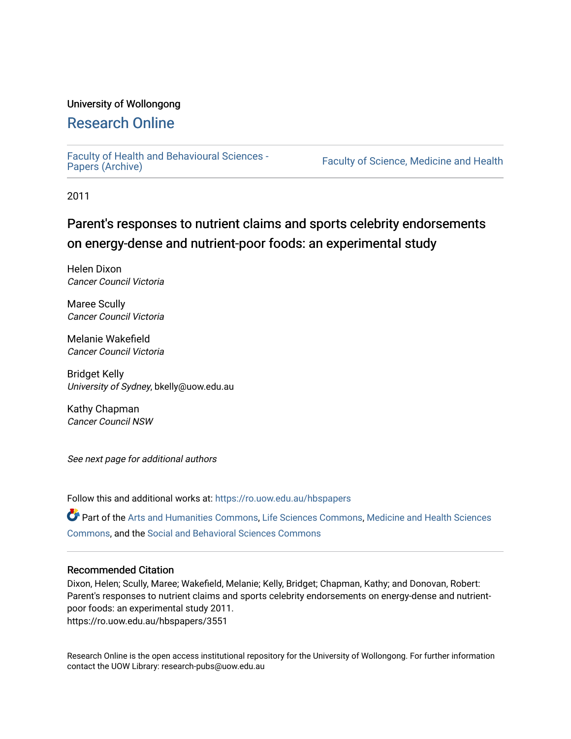# University of Wollongong

# [Research Online](https://ro.uow.edu.au/)

[Faculty of Health and Behavioural Sciences -](https://ro.uow.edu.au/hbspapers)<br>Papers (Archive)

Faculty of Science, Medicine and Health

2011

# Parent's responses to nutrient claims and sports celebrity endorsements on energy-dense and nutrient-poor foods: an experimental study

Helen Dixon Cancer Council Victoria

Maree Scully Cancer Council Victoria

Melanie Wakefield Cancer Council Victoria

Bridget Kelly University of Sydney, bkelly@uow.edu.au

Kathy Chapman Cancer Council NSW

See next page for additional authors

Follow this and additional works at: [https://ro.uow.edu.au/hbspapers](https://ro.uow.edu.au/hbspapers?utm_source=ro.uow.edu.au%2Fhbspapers%2F3551&utm_medium=PDF&utm_campaign=PDFCoverPages) 

Part of the [Arts and Humanities Commons,](http://network.bepress.com/hgg/discipline/438?utm_source=ro.uow.edu.au%2Fhbspapers%2F3551&utm_medium=PDF&utm_campaign=PDFCoverPages) [Life Sciences Commons,](http://network.bepress.com/hgg/discipline/1016?utm_source=ro.uow.edu.au%2Fhbspapers%2F3551&utm_medium=PDF&utm_campaign=PDFCoverPages) [Medicine and Health Sciences](http://network.bepress.com/hgg/discipline/648?utm_source=ro.uow.edu.au%2Fhbspapers%2F3551&utm_medium=PDF&utm_campaign=PDFCoverPages) [Commons](http://network.bepress.com/hgg/discipline/648?utm_source=ro.uow.edu.au%2Fhbspapers%2F3551&utm_medium=PDF&utm_campaign=PDFCoverPages), and the [Social and Behavioral Sciences Commons](http://network.bepress.com/hgg/discipline/316?utm_source=ro.uow.edu.au%2Fhbspapers%2F3551&utm_medium=PDF&utm_campaign=PDFCoverPages)

# Recommended Citation

Dixon, Helen; Scully, Maree; Wakefield, Melanie; Kelly, Bridget; Chapman, Kathy; and Donovan, Robert: Parent's responses to nutrient claims and sports celebrity endorsements on energy-dense and nutrientpoor foods: an experimental study 2011. https://ro.uow.edu.au/hbspapers/3551

Research Online is the open access institutional repository for the University of Wollongong. For further information contact the UOW Library: research-pubs@uow.edu.au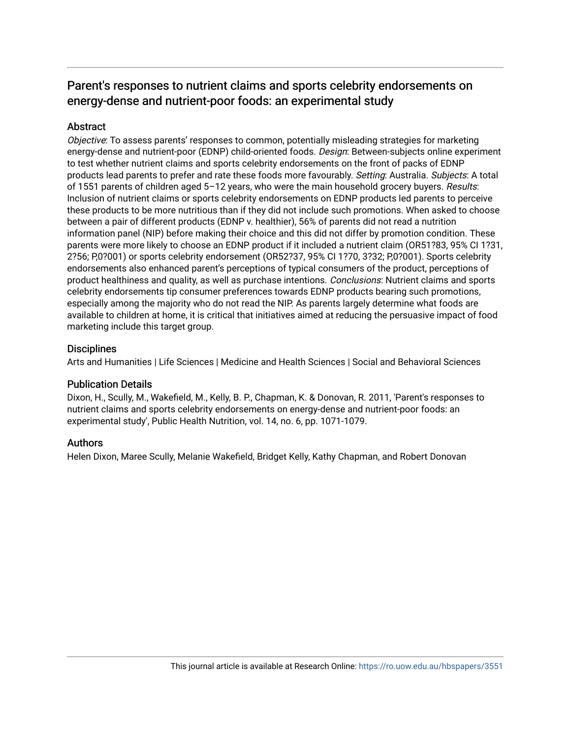# Parent's responses to nutrient claims and sports celebrity endorsements on energy-dense and nutrient-poor foods: an experimental study

# **Abstract**

Objective: To assess parents' responses to common, potentially misleading strategies for marketing energy-dense and nutrient-poor (EDNP) child-oriented foods. Design: Between-subjects online experiment to test whether nutrient claims and sports celebrity endorsements on the front of packs of EDNP products lead parents to prefer and rate these foods more favourably. Setting: Australia. Subjects: A total of 1551 parents of children aged 5–12 years, who were the main household grocery buyers. Results: Inclusion of nutrient claims or sports celebrity endorsements on EDNP products led parents to perceive these products to be more nutritious than if they did not include such promotions. When asked to choose between a pair of different products (EDNP v. healthier), 56% of parents did not read a nutrition information panel (NIP) before making their choice and this did not differ by promotion condition. These parents were more likely to choose an EDNP product if it included a nutrient claim (OR51?83, 95% CI 1?31, 2?56; P,0?001) or sports celebrity endorsement (OR52?37, 95% CI 1?70, 3?32; P,0?001). Sports celebrity endorsements also enhanced parent's perceptions of typical consumers of the product, perceptions of product healthiness and quality, as well as purchase intentions. Conclusions: Nutrient claims and sports celebrity endorsements tip consumer preferences towards EDNP products bearing such promotions, especially among the majority who do not read the NIP. As parents largely determine what foods are available to children at home, it is critical that initiatives aimed at reducing the persuasive impact of food marketing include this target group.

# **Disciplines**

Arts and Humanities | Life Sciences | Medicine and Health Sciences | Social and Behavioral Sciences

# Publication Details

Dixon, H., Scully, M., Wakefield, M., Kelly, B. P., Chapman, K. & Donovan, R. 2011, 'Parent's responses to nutrient claims and sports celebrity endorsements on energy-dense and nutrient-poor foods: an experimental study', Public Health Nutrition, vol. 14, no. 6, pp. 1071-1079.

# Authors

Helen Dixon, Maree Scully, Melanie Wakefield, Bridget Kelly, Kathy Chapman, and Robert Donovan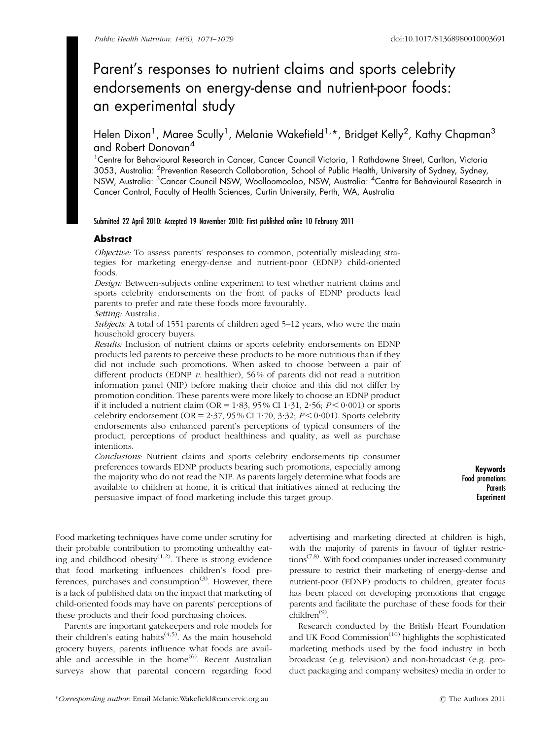# Parent's responses to nutrient claims and sports celebrity endorsements on energy-dense and nutrient-poor foods: an experimental study

Helen Dixon<sup>1</sup>, Maree Scully<sup>1</sup>, Melanie Wakefield<sup>1,</sup>\*, Bridget Kelly<sup>2</sup>, Kathy Chapman<sup>3</sup> and Robert Donovan<sup>4</sup>

<sup>1</sup>Centre for Behavioural Research in Cancer, Cancer Council Victoria, 1 Rathdowne Street, Carlton, Victoria 3053, Australia: <sup>2</sup>Prevention Research Collaboration, School of Public Health, University of Sydney, Sydney, NSW, Australia: <sup>3</sup>Cancer Council NSW, Woolloomooloo, NSW, Australia: <sup>4</sup>Centre for Behavioural Research in Cancer Control, Faculty of Health Sciences, Curtin University, Perth, WA, Australia

## Submitted 22 April 2010: Accepted 19 November 2010: First published online 10 February 2011

## **Abstract**

Objective: To assess parents' responses to common, potentially misleading strategies for marketing energy-dense and nutrient-poor (EDNP) child-oriented foods.

Design: Between-subjects online experiment to test whether nutrient claims and sports celebrity endorsements on the front of packs of EDNP products lead parents to prefer and rate these foods more favourably.

Setting: Australia.

Subjects: A total of 1551 parents of children aged 5–12 years, who were the main household grocery buyers.

Results: Inclusion of nutrient claims or sports celebrity endorsements on EDNP products led parents to perceive these products to be more nutritious than if they did not include such promotions. When asked to choose between a pair of different products (EDNP  $\nu$ , healthier), 56% of parents did not read a nutrition information panel (NIP) before making their choice and this did not differ by promotion condition. These parents were more likely to choose an EDNP product if it included a nutrient claim (OR =  $1.83$ , 95 % CI  $1.31$ ,  $2.56$ ;  $P < 0.001$ ) or sports celebrity endorsement (OR =  $2.37$ , 95 % CI 1.70,  $3.32$ ;  $P < 0.001$ ). Sports celebrity endorsements also enhanced parent's perceptions of typical consumers of the product, perceptions of product healthiness and quality, as well as purchase intentions.

Conclusions: Nutrient claims and sports celebrity endorsements tip consumer preferences towards EDNP products bearing such promotions, especially among the majority who do not read the NIP. As parents largely determine what foods are available to children at home, it is critical that initiatives aimed at reducing the persuasive impact of food marketing include this target group.

Keywords Food promotions **Parents** Experiment

Food marketing techniques have come under scrutiny for their probable contribution to promoting unhealthy eating and childhood obesity $(1,2)$ . There is strong evidence that food marketing influences children's food preferences, purchases and consumption $(3)$ . However, there is a lack of published data on the impact that marketing of child-oriented foods may have on parents' perceptions of these products and their food purchasing choices.

Parents are important gatekeepers and role models for their children's eating habits<sup> $(4,5)$ </sup>. As the main household grocery buyers, parents influence what foods are available and accessible in the home<sup> $(6)$ </sup>. Recent Australian surveys show that parental concern regarding food

advertising and marketing directed at children is high, with the majority of parents in favour of tighter restric $tions^{(7,8)}$ . With food companies under increased community pressure to restrict their marketing of energy-dense and nutrient-poor (EDNP) products to children, greater focus has been placed on developing promotions that engage parents and facilitate the purchase of these foods for their children<sup>(9)</sup>.

Research conducted by the British Heart Foundation and UK Food Commission<sup>(10)</sup> highlights the sophisticated marketing methods used by the food industry in both broadcast (e.g. television) and non-broadcast (e.g. product packaging and company websites) media in order to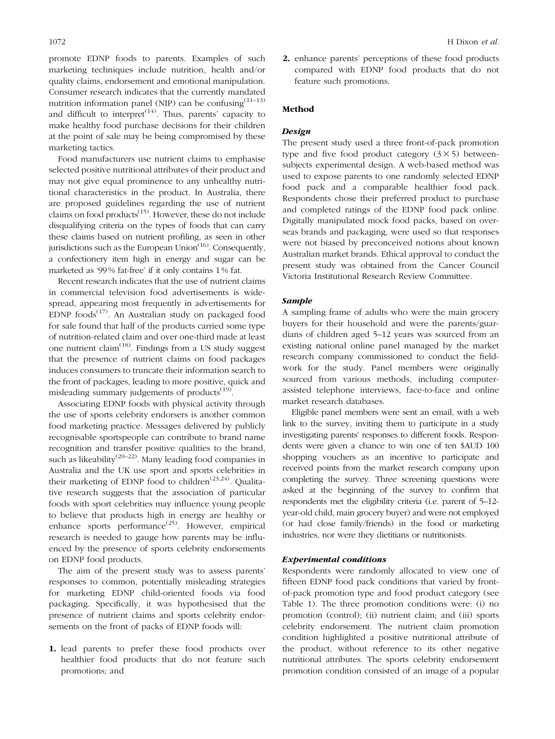promote EDNP foods to parents. Examples of such marketing techniques include nutrition, health and/or quality claims, endorsement and emotional manipulation. Consumer research indicates that the currently mandated nutrition information panel (NIP) can be confusing  $(11-13)$ and difficult to interpret<sup> $(14)$ </sup>. Thus, parents' capacity to make healthy food purchase decisions for their children at the point of sale may be being compromised by these marketing tactics.

Food manufacturers use nutrient claims to emphasise selected positive nutritional attributes of their product and may not give equal prominence to any unhealthy nutritional characteristics in the product. In Australia, there are proposed guidelines regarding the use of nutrient claims on food products $(15)$ . However, these do not include disqualifying criteria on the types of foods that can carry these claims based on nutrient profiling, as seen in other jurisdictions such as the European Union $<sup>(16)</sup>$ . Consequently,</sup> a confectionery item high in energy and sugar can be marketed as '99% fat-free' if it only contains 1% fat.

Recent research indicates that the use of nutrient claims in commercial television food advertisements is widespread, appearing most frequently in advertisements for  $EDNP$  foods<sup>(17)</sup>. An Australian study on packaged food for sale found that half of the products carried some type of nutrition-related claim and over one-third made at least one nutrient claim<sup> $(18)$ </sup>. Findings from a US study suggest that the presence of nutrient claims on food packages induces consumers to truncate their information search to the front of packages, leading to more positive, quick and misleading summary judgements of products $(19)$ .

Associating EDNP foods with physical activity through the use of sports celebrity endorsers is another common food marketing practice. Messages delivered by publicly recognisable sportspeople can contribute to brand name recognition and transfer positive qualities to the brand, such as likeability<sup>(20–22)</sup>. Many leading food companies in Australia and the UK use sport and sports celebrities in their marketing of EDNP food to children<sup> $(23,24)$ </sup>. Qualitative research suggests that the association of particular foods with sport celebrities may influence young people to believe that products high in energy are healthy or enhance sports performance<sup> $(25)$ </sup>. However, empirical research is needed to gauge how parents may be influenced by the presence of sports celebrity endorsements on EDNP food products.

The aim of the present study was to assess parents' responses to common, potentially misleading strategies for marketing EDNP child-oriented foods via food packaging. Specifically, it was hypothesised that the presence of nutrient claims and sports celebrity endorsements on the front of packs of EDNP foods will:

1. lead parents to prefer these food products over healthier food products that do not feature such promotions; and

2. enhance parents' perceptions of these food products compared with EDNP food products that do not feature such promotions.

## Method

### **Design**

The present study used a three front-of-pack promotion type and five food product category  $(3 \times 5)$  betweensubjects experimental design. A web-based method was used to expose parents to one randomly selected EDNP food pack and a comparable healthier food pack. Respondents chose their preferred product to purchase and completed ratings of the EDNP food pack online. Digitally manipulated mock food packs, based on overseas brands and packaging, were used so that responses were not biased by preconceived notions about known Australian market brands. Ethical approval to conduct the present study was obtained from the Cancer Council Victoria Institutional Research Review Committee.

#### Sample

A sampling frame of adults who were the main grocery buyers for their household and were the parents/guardians of children aged 5–12 years was sourced from an existing national online panel managed by the market research company commissioned to conduct the fieldwork for the study. Panel members were originally sourced from various methods, including computerassisted telephone interviews, face-to-face and online market research databases.

Eligible panel members were sent an email, with a web link to the survey, inviting them to participate in a study investigating parents' responses to different foods. Respondents were given a chance to win one of ten \$AUD 100 shopping vouchers as an incentive to participate and received points from the market research company upon completing the survey. Three screening questions were asked at the beginning of the survey to confirm that respondents met the eligibility criteria (i.e. parent of 5–12 year-old child, main grocery buyer) and were not employed (or had close family/friends) in the food or marketing industries, nor were they dietitians or nutritionists.

# Experimental conditions

Respondents were randomly allocated to view one of fifteen EDNP food pack conditions that varied by frontof-pack promotion type and food product category (see Table 1). The three promotion conditions were: (i) no promotion (control); (ii) nutrient claim; and (iii) sports celebrity endorsement. The nutrient claim promotion condition highlighted a positive nutritional attribute of the product, without reference to its other negative nutritional attributes. The sports celebrity endorsement promotion condition consisted of an image of a popular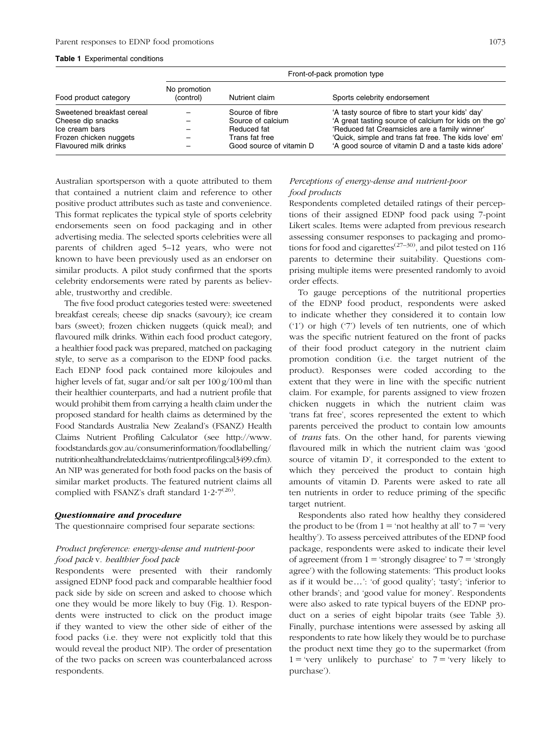#### Table 1 Experimental conditions

| Food product category                                                                                                | Front-of-pack promotion type |                                                                                                   |                                                                                                                                                                                                                                                                              |  |  |
|----------------------------------------------------------------------------------------------------------------------|------------------------------|---------------------------------------------------------------------------------------------------|------------------------------------------------------------------------------------------------------------------------------------------------------------------------------------------------------------------------------------------------------------------------------|--|--|
|                                                                                                                      | No promotion<br>(control)    | Nutrient claim                                                                                    | Sports celebrity endorsement                                                                                                                                                                                                                                                 |  |  |
| Sweetened breakfast cereal<br>Cheese dip snacks<br>Ice cream bars<br>Frozen chicken nuggets<br>Flavoured milk drinks |                              | Source of fibre<br>Source of calcium<br>Reduced fat<br>Trans fat free<br>Good source of vitamin D | 'A tasty source of fibre to start your kids' day'<br>'A great tasting source of calcium for kids on the go'<br>'Reduced fat Creamsicles are a family winner'<br>'Quick, simple and trans fat free. The kids love' em'<br>'A good source of vitamin D and a taste kids adore' |  |  |

Australian sportsperson with a quote attributed to them that contained a nutrient claim and reference to other positive product attributes such as taste and convenience. This format replicates the typical style of sports celebrity endorsements seen on food packaging and in other advertising media. The selected sports celebrities were all parents of children aged 5–12 years, who were not known to have been previously used as an endorser on similar products. A pilot study confirmed that the sports celebrity endorsements were rated by parents as believable, trustworthy and credible.

The five food product categories tested were: sweetened breakfast cereals; cheese dip snacks (savoury); ice cream bars (sweet); frozen chicken nuggets (quick meal); and flavoured milk drinks. Within each food product category, a healthier food pack was prepared, matched on packaging style, to serve as a comparison to the EDNP food packs. Each EDNP food pack contained more kilojoules and higher levels of fat, sugar and/or salt per  $100 g/100$  ml than their healthier counterparts, and had a nutrient profile that would prohibit them from carrying a health claim under the proposed standard for health claims as determined by the Food Standards Australia New Zealand's (FSANZ) Health Claims Nutrient Profiling Calculator (see http://www. foodstandards.gov.au/consumerinformation/foodlabelling/ nutritionhealthandrelatedclaims/nutrientprofilingcal3499.cfm). An NIP was generated for both food packs on the basis of similar market products. The featured nutrient claims all complied with FSANZ's draft standard  $1.2 \cdot 7^{(26)}$ .

### Questionnaire and procedure

The questionnaire comprised four separate sections:

# Product preference: energy-dense and nutrient-poor food pack v. healthier food pack

Respondents were presented with their randomly assigned EDNP food pack and comparable healthier food pack side by side on screen and asked to choose which one they would be more likely to buy (Fig. 1). Respondents were instructed to click on the product image if they wanted to view the other side of either of the food packs (i.e. they were not explicitly told that this would reveal the product NIP). The order of presentation of the two packs on screen was counterbalanced across respondents.

## Perceptions of energy-dense and nutrient-poor food products

Respondents completed detailed ratings of their perceptions of their assigned EDNP food pack using 7-point Likert scales. Items were adapted from previous research assessing consumer responses to packaging and promotions for food and cigarettes<sup> $(27-30)$ </sup>, and pilot tested on 116 parents to determine their suitability. Questions comprising multiple items were presented randomly to avoid order effects.

To gauge perceptions of the nutritional properties of the EDNP food product, respondents were asked to indicate whether they considered it to contain low ('1') or high ('7') levels of ten nutrients, one of which was the specific nutrient featured on the front of packs of their food product category in the nutrient claim promotion condition (i.e. the target nutrient of the product). Responses were coded according to the extent that they were in line with the specific nutrient claim. For example, for parents assigned to view frozen chicken nuggets in which the nutrient claim was 'trans fat free', scores represented the extent to which parents perceived the product to contain low amounts of trans fats. On the other hand, for parents viewing flavoured milk in which the nutrient claim was 'good source of vitamin D', it corresponded to the extent to which they perceived the product to contain high amounts of vitamin D. Parents were asked to rate all ten nutrients in order to reduce priming of the specific target nutrient.

Respondents also rated how healthy they considered the product to be (from  $1 = \text{`not healthy at all' to } 7 = \text{`very}$ healthy'). To assess perceived attributes of the EDNP food package, respondents were asked to indicate their level of agreement (from  $1 =$  'strongly disagree' to  $7 =$  'strongly agree') with the following statements: 'This product looks as if it would be...': 'of good quality'; 'tasty'; 'inferior to other brands'; and 'good value for money'. Respondents were also asked to rate typical buyers of the EDNP product on a series of eight bipolar traits (see Table 3). Finally, purchase intentions were assessed by asking all respondents to rate how likely they would be to purchase the product next time they go to the supermarket (from  $1 = 'very$  unlikely to purchase' to  $7 = 'very$  likely to purchase').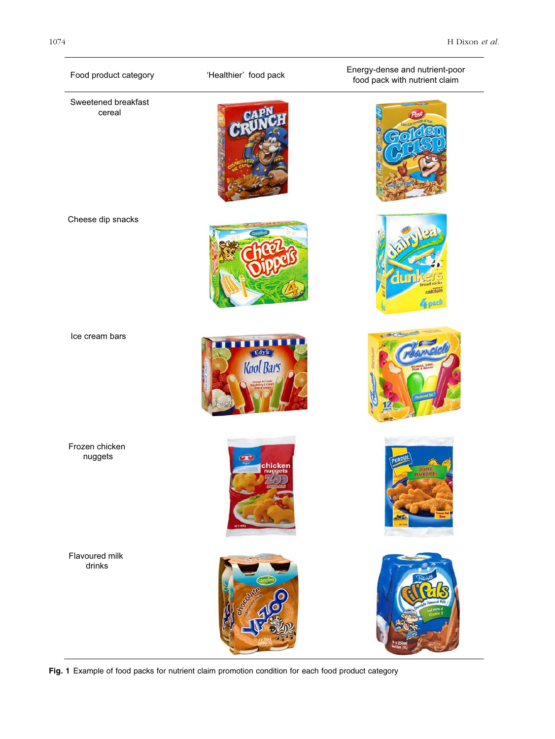

Fig. 1 Example of food packs for nutrient claim promotion condition for each food product category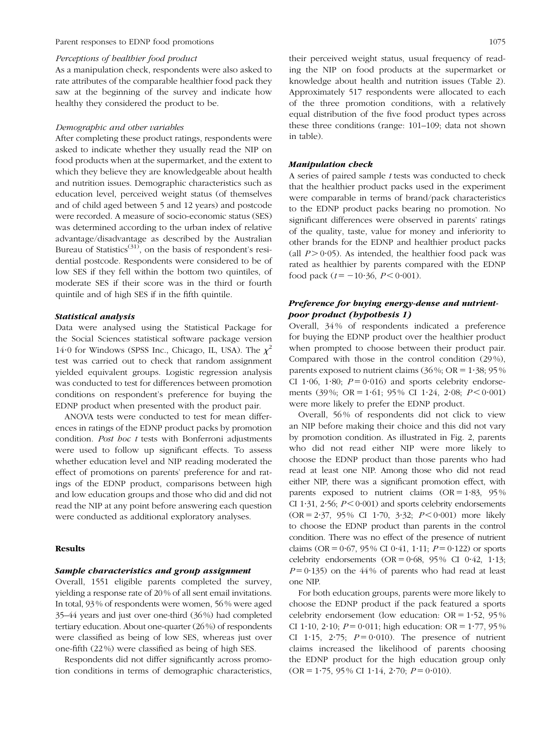#### Parent responses to EDNP food promotions 1075

#### Perceptions of healthier food product

As a manipulation check, respondents were also asked to rate attributes of the comparable healthier food pack they saw at the beginning of the survey and indicate how healthy they considered the product to be.

#### Demographic and other variables

After completing these product ratings, respondents were asked to indicate whether they usually read the NIP on food products when at the supermarket, and the extent to which they believe they are knowledgeable about health and nutrition issues. Demographic characteristics such as education level, perceived weight status (of themselves and of child aged between 5 and 12 years) and postcode were recorded. A measure of socio-economic status (SES) was determined according to the urban index of relative advantage/disadvantage as described by the Australian Bureau of Statistics<sup>(31)</sup>, on the basis of respondent's residential postcode. Respondents were considered to be of low SES if they fell within the bottom two quintiles, of moderate SES if their score was in the third or fourth quintile and of high SES if in the fifth quintile.

### Statistical analysis

Data were analysed using the Statistical Package for the Social Sciences statistical software package version 14.0 for Windows (SPSS Inc., Chicago, IL, USA). The  $\chi^2$ test was carried out to check that random assignment yielded equivalent groups. Logistic regression analysis was conducted to test for differences between promotion conditions on respondent's preference for buying the EDNP product when presented with the product pair.

ANOVA tests were conducted to test for mean differences in ratings of the EDNP product packs by promotion condition. Post hoc t tests with Bonferroni adjustments were used to follow up significant effects. To assess whether education level and NIP reading moderated the effect of promotions on parents' preference for and ratings of the EDNP product, comparisons between high and low education groups and those who did and did not read the NIP at any point before answering each question were conducted as additional exploratory analyses.

### Results

## Sample characteristics and group assignment

Overall, 1551 eligible parents completed the survey, yielding a response rate of 20% of all sent email invitations. In total, 93% of respondents were women, 56% were aged 35–44 years and just over one-third (36%) had completed tertiary education. About one-quarter (26%) of respondents were classified as being of low SES, whereas just over one-fifth (22 %) were classified as being of high SES.

Respondents did not differ significantly across promotion conditions in terms of demographic characteristics, their perceived weight status, usual frequency of reading the NIP on food products at the supermarket or knowledge about health and nutrition issues (Table 2). Approximately 517 respondents were allocated to each of the three promotion conditions, with a relatively equal distribution of the five food product types across these three conditions (range: 101–109; data not shown in table).

#### Manipulation check

A series of paired sample t tests was conducted to check that the healthier product packs used in the experiment were comparable in terms of brand/pack characteristics to the EDNP product packs bearing no promotion. No significant differences were observed in parents' ratings of the quality, taste, value for money and inferiority to other brands for the EDNP and healthier product packs (all  $P > 0.05$ ). As intended, the healthier food pack was rated as healthier by parents compared with the EDNP food pack  $(t = -10.36, P < 0.001)$ .

# Preference for buying energy-dense and nutrientpoor product (hypothesis 1)

Overall, 34 % of respondents indicated a preference for buying the EDNP product over the healthier product when prompted to choose between their product pair. Compared with those in the control condition (29 %), parents exposed to nutrient claims  $(36\%, \text{OR} = 1.38; 95\%)$ CI 1.06, 1.80;  $P = 0.016$ ) and sports celebrity endorsements (39%; OR = 1.61; 95% CI 1.24, 2.08;  $P < 0.001$ ) were more likely to prefer the EDNP product.

Overall, 56 % of respondents did not click to view an NIP before making their choice and this did not vary by promotion condition. As illustrated in Fig. 2, parents who did not read either NIP were more likely to choose the EDNP product than those parents who had read at least one NIP. Among those who did not read either NIP, there was a significant promotion effect, with parents exposed to nutrient claims  $(OR = 1.83, 95\%)$ CI 1.31, 2.56;  $P < 0.001$ ) and sports celebrity endorsements  $(OR = 2.37, 95\% \text{ CI } 1.70, 3.32; P < 0.001) \text{ more likely}$ to choose the EDNP product than parents in the control condition. There was no effect of the presence of nutrient claims (OR = 0.67, 95% CI 0.41, 1.11;  $P = 0.122$ ) or sports celebrity endorsements  $(OR = 0.68, 95\% \text{ CI } 0.42, 1.13;$  $P = 0.135$ ) on the 44% of parents who had read at least one NIP.

For both education groups, parents were more likely to choose the EDNP product if the pack featured a sports celebrity endorsement (low education:  $OR = 1.52$ , 95% CI 1.10, 2.10;  $P = 0.011$ ; high education: OR = 1.77, 95% CI 1.15, 2.75;  $P = 0.010$ ). The presence of nutrient claims increased the likelihood of parents choosing the EDNP product for the high education group only  $(OR = 1.75, 95\% \text{ CI } 1.14, 2.70; P = 0.010).$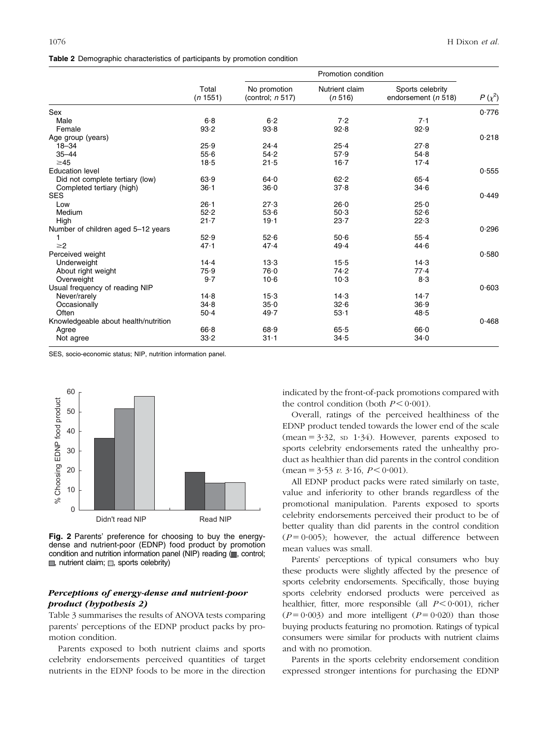#### Table 2 Demographic characteristics of participants by promotion condition

|                                      | Total<br>(n 1551) | Promotion condition                     |                           |                                         |             |  |
|--------------------------------------|-------------------|-----------------------------------------|---------------------------|-----------------------------------------|-------------|--|
|                                      |                   | No promotion<br>(control; <i>n</i> 517) | Nutrient claim<br>(n 516) | Sports celebrity<br>endorsement (n 518) | $P(\chi^2)$ |  |
| Sex                                  |                   |                                         |                           |                                         | 0.776       |  |
| Male                                 | 6.8               | $6-2$                                   | 7.2                       | 7.1                                     |             |  |
| Female                               | 93.2              | 93.8                                    | 92.8                      | 92.9                                    |             |  |
| Age group (years)                    |                   |                                         |                           |                                         | 0.218       |  |
| $18 - 34$                            | 25.9              | 24.4                                    | 25.4                      | 27.8                                    |             |  |
| $35 - 44$                            | 55.6              | 54.2                                    | 57.9                      | 54.8                                    |             |  |
| $\geq 45$                            | 18.5              | 21.5                                    | $16 - 7$                  | $17-4$                                  |             |  |
| <b>Education level</b>               |                   |                                         |                           |                                         | 0.555       |  |
| Did not complete tertiary (low)      | 63.9              | 64.0                                    | 62.2                      | $65 - 4$                                |             |  |
| Completed tertiary (high)            | $36 - 1$          | $36 - 0$                                | 37.8                      | 34.6                                    |             |  |
| <b>SES</b>                           |                   |                                         |                           |                                         | 0.449       |  |
| Low                                  | $26 - 1$          | 27.3                                    | 26.0                      | 25.0                                    |             |  |
| Medium                               | 52.2              | 53.6                                    | 50.3                      | 52.6                                    |             |  |
| High                                 | $21 - 7$          | 19.1                                    | $23 - 7$                  | 22.3                                    |             |  |
| Number of children aged 5-12 years   |                   |                                         |                           |                                         | 0.296       |  |
| 1                                    | 52.9              | 52.6                                    | 50.6                      | $55 - 4$                                |             |  |
| $\geq$ 2                             | 47.1              | 47.4                                    | 49.4                      | 44.6                                    |             |  |
| Perceived weight                     |                   |                                         |                           |                                         | 0.580       |  |
| Underweight                          | 14.4              | 13.3                                    | 15.5                      | 14.3                                    |             |  |
| About right weight                   | 75.9              | 76.0                                    | 74.2                      | 77.4                                    |             |  |
| Overweight                           | 9.7               | $10-6$                                  | $10-3$                    | 8.3                                     |             |  |
| Usual frequency of reading NIP       |                   |                                         |                           |                                         | 0.603       |  |
| Never/rarely                         | 14.8              | 15.3                                    | 14.3                      | 14.7                                    |             |  |
| Occasionally                         | 34.8              | 35.0                                    | 32.6                      | 36.9                                    |             |  |
| Often                                | $50 - 4$          | 49.7                                    | $53 - 1$                  | 48.5                                    |             |  |
| Knowledgeable about health/nutrition |                   |                                         |                           |                                         | 0.468       |  |
| Agree                                | 66.8              | 68.9                                    | 65.5                      | 66.0                                    |             |  |
| Not agree                            | 33.2              | $31 - 1$                                | 34.5                      | 34.0                                    |             |  |
|                                      |                   |                                         |                           |                                         |             |  |

SES, socio-economic status; NIP, nutrition information panel.



Fig. 2 Parents' preference for choosing to buy the energydense and nutrient-poor (EDNP) food product by promotion condition and nutrition information panel (NIP) reading  $(\blacksquare,$  control;  $\Box$ , nutrient claim;  $\Box$ , sports celebrity)

# Perceptions of energy-dense and nutrient-poor product (hypothesis 2)

Table 3 summarises the results of ANOVA tests comparing parents' perceptions of the EDNP product packs by promotion condition.

Parents exposed to both nutrient claims and sports celebrity endorsements perceived quantities of target nutrients in the EDNP foods to be more in the direction indicated by the front-of-pack promotions compared with the control condition (both  $P \le 0.001$ ).

Overall, ratings of the perceived healthiness of the EDNP product tended towards the lower end of the scale (mean =  $3.32$ , sp 1.34). However, parents exposed to sports celebrity endorsements rated the unhealthy product as healthier than did parents in the control condition  $(\text{mean} = 3.53 \ v. 3.16, P \leq 0.001).$ 

All EDNP product packs were rated similarly on taste, value and inferiority to other brands regardless of the promotional manipulation. Parents exposed to sports celebrity endorsements perceived their product to be of better quality than did parents in the control condition  $(P = 0.005)$ ; however, the actual difference between mean values was small.

Parents' perceptions of typical consumers who buy these products were slightly affected by the presence of sports celebrity endorsements. Specifically, those buying sports celebrity endorsed products were perceived as healthier, fitter, more responsible (all  $P < 0.001$ ), richer  $(P=0.003)$  and more intelligent  $(P=0.020)$  than those buying products featuring no promotion. Ratings of typical consumers were similar for products with nutrient claims and with no promotion.

Parents in the sports celebrity endorsement condition expressed stronger intentions for purchasing the EDNP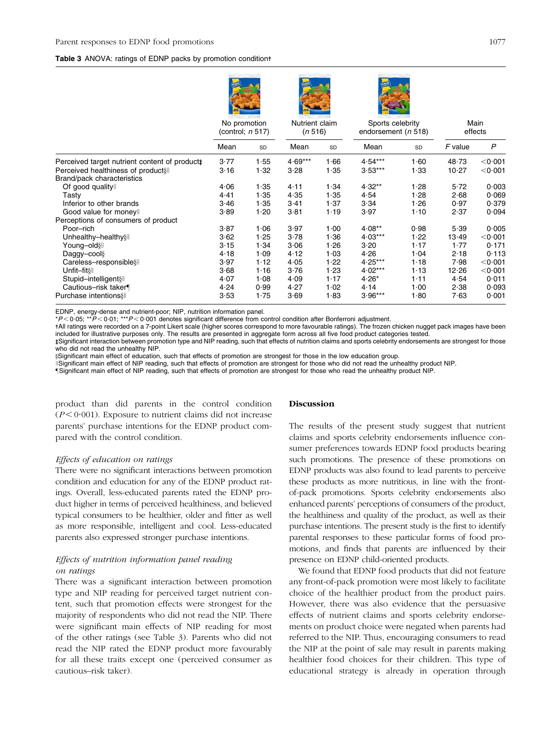#### Table 3 ANOVA: ratings of EDNP packs by promotion conditiont

|                                                                          | No promotion<br>(control; $n 517$ ) |      | Nutrient claim<br>(n 516) |      | Sports celebrity<br>endorsement (n 518) |      | Main<br>effects |                   |
|--------------------------------------------------------------------------|-------------------------------------|------|---------------------------|------|-----------------------------------------|------|-----------------|-------------------|
|                                                                          | Mean                                | SD   | Mean                      | SD   | Mean                                    | SD   | F value         | $\overline{P}$    |
| Perceived target nutrient content of product‡                            | 3.77                                | 1.55 | $4.69***$                 | 1.66 | $4.54***$                               | 1.60 | 48.73           | < 0.001           |
| Perceived healthiness of product§ll<br><b>Brand/pack characteristics</b> | 3.16                                | 1.32 | 3.28                      | 1.35 | $3.53***$                               | 1.33 | 10.27           | $<$ 0 $\cdot$ 001 |
| Of good quality                                                          | 4.06                                | 1.35 | 4.11                      | 1.34 | $4.32**$                                | 1.28 | 5.72            | 0.003             |
| Tasty                                                                    | 4.41                                | 1.35 | 4.35                      | 1.35 | 4.54                                    | 1.28 | 2.68            | 0.069             |
| Inferior to other brands                                                 | 3.46                                | 1.35 | 3.41                      | 1.37 | 3.34                                    | 1.26 | 0.97            | 0.379             |
| Good value for moneyll                                                   | 3.89                                | 1.20 | 3.81                      | 1.19 | 3.97                                    | 1.10 | 2.37            | 0.094             |
| Perceptions of consumers of product                                      |                                     |      |                           |      |                                         |      |                 |                   |
| Poor-rich                                                                | 3.87                                | 1.06 | 3.97                      | 1.00 | $4.08**$                                | 0.98 | 5.39            | 0.005             |
| Unhealthy-healthy§ll                                                     | 3.62                                | 1.25 | 3.78                      | 1.36 | $4.03***$                               | 1.22 | 13.49           | $<$ 0 $\cdot$ 001 |
| Young-old§ll                                                             | 3.15                                | 1.34 | 3.06                      | 1.26 | 3.20                                    | 1.17 | 1.77            | 0.171             |
| $Daggy-cool §$                                                           | 4.18                                | 1.09 | 4.12                      | 1.03 | 4.26                                    | 1.04 | 2.18            | 0.113             |
| Careless-responsible§ll                                                  | 3.97                                | 1.12 | 4.05                      | 1.22 | $4.25***$                               | 1.18 | 7.98            | < 0.001           |
| Unfit-fit                                                                | 3.68                                | 1.16 | 3.76                      | 1.23 | $4.02***$                               | 1.13 | 12.26           | $<$ 0 $\cdot$ 001 |
| Stupid-intelligent§ll                                                    | 4.07                                | 1.08 | 4.09                      | 1.17 | $4.26*$                                 | 1.11 | 4.54            | 0.011             |
| Cautious-risk taker¶                                                     | 4.24                                | 0.99 | 4.27                      | 1.02 | 4.14                                    | 1.00 | 2.38            | 0.093             |
| Purchase intentions§ll                                                   | 3.53                                | 1.75 | 3.69                      | 1.83 | $3.96***$                               | 1.80 | 7.63            | 0.001             |
|                                                                          |                                     |      |                           |      |                                         |      |                 |                   |

EDNP, energy-dense and nutrient-poor; NIP, nutrition information panel.<br>\*P<0·05; \*\*P<0·01; \*\*\*P<0·001 denotes significant difference from control condition after Bonferroni adjustment.

-All ratings were recorded on a 7-point Likert scale (higher scores correspond to more favourable ratings). The frozen chicken nugget pack images have been included for illustrative purposes only. The results are presented in aggregate form across all five food product categories tested.

- - Significant interaction between promotion type and NIP reading, such that effects of nutrition claims and sports celebrity endorsements are strongest for those who did not read the unhealthy NIP.

ySignificant main effect of education, such that effects of promotion are strongest for those in the low education group.

JSignificant main effect of NIP reading, such that effects of promotion are strongest for those who did not read the unhealthy product NIP.

TSignificant main effect of NIP reading, such that effects of promotion are strongest for those who read the unhealthy product NIP

product than did parents in the control condition  $(P < 0.001)$ . Exposure to nutrient claims did not increase parents' purchase intentions for the EDNP product compared with the control condition.

#### Effects of education on ratings

There were no significant interactions between promotion condition and education for any of the EDNP product ratings. Overall, less-educated parents rated the EDNP product higher in terms of perceived healthiness, and believed typical consumers to be healthier, older and fitter as well as more responsible, intelligent and cool. Less-educated parents also expressed stronger purchase intentions.

# Effects of nutrition information panel reading on ratings

There was a significant interaction between promotion type and NIP reading for perceived target nutrient content, such that promotion effects were strongest for the majority of respondents who did not read the NIP. There were significant main effects of NIP reading for most of the other ratings (see Table 3). Parents who did not read the NIP rated the EDNP product more favourably for all these traits except one (perceived consumer as cautious–risk taker).

## Discussion

The results of the present study suggest that nutrient claims and sports celebrity endorsements influence consumer preferences towards EDNP food products bearing such promotions. The presence of these promotions on EDNP products was also found to lead parents to perceive these products as more nutritious, in line with the frontof-pack promotions. Sports celebrity endorsements also enhanced parents' perceptions of consumers of the product, the healthiness and quality of the product, as well as their purchase intentions. The present study is the first to identify parental responses to these particular forms of food promotions, and finds that parents are influenced by their presence on EDNP child-oriented products.

We found that EDNP food products that did not feature any front-of-pack promotion were most likely to facilitate choice of the healthier product from the product pairs. However, there was also evidence that the persuasive effects of nutrient claims and sports celebrity endorsements on product choice were negated when parents had referred to the NIP. Thus, encouraging consumers to read the NIP at the point of sale may result in parents making healthier food choices for their children. This type of educational strategy is already in operation through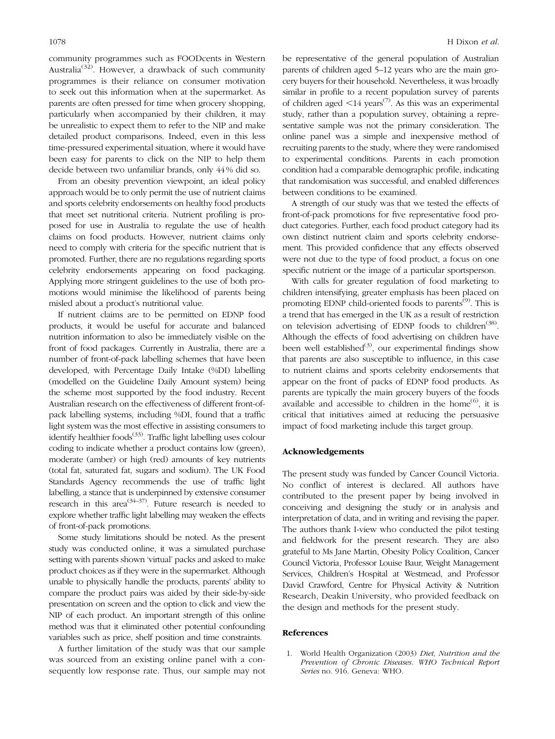community programmes such as FOODcents in Western Australia<sup>(32)</sup>. However, a drawback of such community programmes is their reliance on consumer motivation to seek out this information when at the supermarket. As parents are often pressed for time when grocery shopping, particularly when accompanied by their children, it may be unrealistic to expect them to refer to the NIP and make detailed product comparisons. Indeed, even in this less time-pressured experimental situation, where it would have been easy for parents to click on the NIP to help them decide between two unfamiliar brands, only 44% did so.

From an obesity prevention viewpoint, an ideal policy approach would be to only permit the use of nutrient claims and sports celebrity endorsements on healthy food products that meet set nutritional criteria. Nutrient profiling is proposed for use in Australia to regulate the use of health claims on food products. However, nutrient claims only need to comply with criteria for the specific nutrient that is promoted. Further, there are no regulations regarding sports celebrity endorsements appearing on food packaging. Applying more stringent guidelines to the use of both promotions would minimise the likelihood of parents being misled about a product's nutritional value.

If nutrient claims are to be permitted on EDNP food products, it would be useful for accurate and balanced nutrition information to also be immediately visible on the front of food packages. Currently in Australia, there are a number of front-of-pack labelling schemes that have been developed, with Percentage Daily Intake (%DI) labelling (modelled on the Guideline Daily Amount system) being the scheme most supported by the food industry. Recent Australian research on the effectiveness of different front-ofpack labelling systems, including %DI, found that a traffic light system was the most effective in assisting consumers to identify healthier foods $(33)$ . Traffic light labelling uses colour coding to indicate whether a product contains low (green), moderate (amber) or high (red) amounts of key nutrients (total fat, saturated fat, sugars and sodium). The UK Food Standards Agency recommends the use of traffic light labelling, a stance that is underpinned by extensive consumer research in this area<sup> $(34-37)$ </sup>. Future research is needed to explore whether traffic light labelling may weaken the effects of front-of-pack promotions.

Some study limitations should be noted. As the present study was conducted online, it was a simulated purchase setting with parents shown 'virtual' packs and asked to make product choices as if they were in the supermarket. Although unable to physically handle the products, parents' ability to compare the product pairs was aided by their side-by-side presentation on screen and the option to click and view the NIP of each product. An important strength of this online method was that it eliminated other potential confounding variables such as price, shelf position and time constraints.

A further limitation of the study was that our sample was sourced from an existing online panel with a consequently low response rate. Thus, our sample may not

be representative of the general population of Australian parents of children aged 5–12 years who are the main grocery buyers for their household. Nevertheless, it was broadly similar in profile to a recent population survey of parents of children aged  $\leq$ 14 years<sup>(7)</sup>. As this was an experimental study, rather than a population survey, obtaining a representative sample was not the primary consideration. The online panel was a simple and inexpensive method of recruiting parents to the study, where they were randomised to experimental conditions. Parents in each promotion condition had a comparable demographic profile, indicating that randomisation was successful, and enabled differences between conditions to be examined.

A strength of our study was that we tested the effects of front-of-pack promotions for five representative food product categories. Further, each food product category had its own distinct nutrient claim and sports celebrity endorsement. This provided confidence that any effects observed were not due to the type of food product, a focus on one specific nutrient or the image of a particular sportsperson.

With calls for greater regulation of food marketing to children intensifying, greater emphasis has been placed on promoting EDNP child-oriented foods to parents<sup>(9)</sup>. This is a trend that has emerged in the UK as a result of restriction on television advertising of EDNP foods to children<sup> $(38)$ </sup>. Although the effects of food advertising on children have been well established<sup>(3)</sup>, our experimental findings show that parents are also susceptible to influence, in this case to nutrient claims and sports celebrity endorsements that appear on the front of packs of EDNP food products. As parents are typically the main grocery buyers of the foods available and accessible to children in the home<sup>(6)</sup>, it is critical that initiatives aimed at reducing the persuasive impact of food marketing include this target group.

#### Acknowledgements

The present study was funded by Cancer Council Victoria. No conflict of interest is declared. All authors have contributed to the present paper by being involved in conceiving and designing the study or in analysis and interpretation of data, and in writing and revising the paper. The authors thank I-view who conducted the pilot testing and fieldwork for the present research. They are also grateful to Ms Jane Martin, Obesity Policy Coalition, Cancer Council Victoria, Professor Louise Baur, Weight Management Services, Children's Hospital at Westmead, and Professor David Crawford, Centre for Physical Activity & Nutrition Research, Deakin University, who provided feedback on the design and methods for the present study.

## References

1. World Health Organization (2003) Diet, Nutrition and the Prevention of Chronic Diseases. WHO Technical Report Series no. 916. Geneva: WHO.